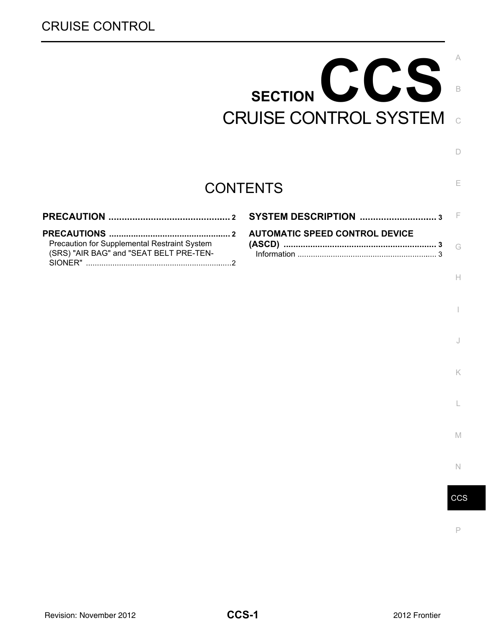# B SECTION CCS CRUISE CONTROL SYSTEM

### **CONTENTS**

| Precaution for Supplemental Restraint System<br>(SRS) "AIR BAG" and "SEAT BELT PRE-TEN- |  |
|-----------------------------------------------------------------------------------------|--|

**CCS** 

 $\overline{C}$ 

A

 $\Box$ 

E

H

I

J

K

L

M

N

P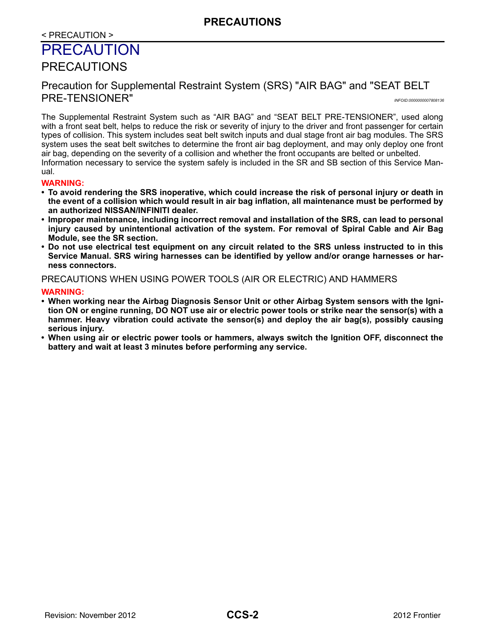#### < PRECAUTION >

## <span id="page-1-0"></span>PRECAUTION

#### <span id="page-1-1"></span>PRECAUTIONS

#### <span id="page-1-2"></span>Precaution for Supplemental Restraint System (SRS) "AIR BAG" and "SEAT BELT PRE-TENSIONER" *INFOID:0000000007808136*

The Supplemental Restraint System such as "AIR BAG" and "SEAT BELT PRE-TENSIONER", used along with a front seat belt, helps to reduce the risk or severity of injury to the driver and front passenger for certain types of collision. This system includes seat belt switch inputs and dual stage front air bag modules. The SRS system uses the seat belt switches to determine the front air bag deployment, and may only deploy one front air bag, depending on the severity of a collision and whether the front occupants are belted or unbelted. Information necessary to service the system safely is included in the SR and SB section of this Service Manual.

#### **WARNING:**

- **To avoid rendering the SRS inoperative, which could increase the risk of personal injury or death in the event of a collision which would result in air bag inflation, all maintenance must be performed by an authorized NISSAN/INFINITI dealer.**
- **Improper maintenance, including incorrect removal and installation of the SRS, can lead to personal injury caused by unintentional activation of the system. For removal of Spiral Cable and Air Bag Module, see the SR section.**
- **Do not use electrical test equipment on any circuit related to the SRS unless instructed to in this Service Manual. SRS wiring harnesses can be identified by yellow and/or orange harnesses or harness connectors.**

#### PRECAUTIONS WHEN USING POWER TOOLS (AIR OR ELECTRIC) AND HAMMERS

#### **WARNING:**

- **When working near the Airbag Diagnosis Sensor Unit or other Airbag System sensors with the Ignition ON or engine running, DO NOT use air or electric power tools or strike near the sensor(s) with a hammer. Heavy vibration could activate the sensor(s) and deploy the air bag(s), possibly causing serious injury.**
- **When using air or electric power tools or hammers, always switch the Ignition OFF, disconnect the battery and wait at least 3 minutes before performing any service.**